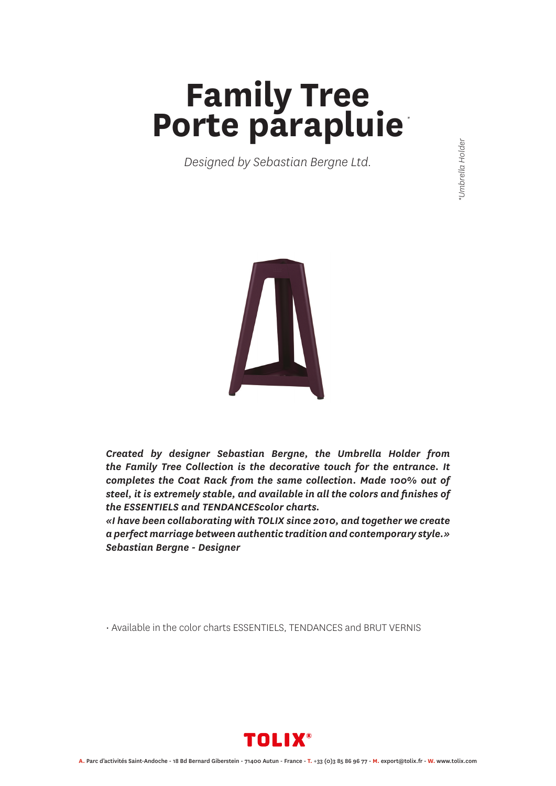## **Family Tree Porte parapluie** *\**

*Designed by Sebastian Bergne Ltd.*



*Created by designer Sebastian Bergne, the Umbrella Holder from the Family Tree Collection is the decorative touch for the entrance. It completes the Coat Rack from the same collection. Made 100% out of steel, it is extremely stable, and available in all the colors and finishes of the ESSENTIELS and TENDANCEScolor charts.* 

*«I have been collaborating with TOLIX since 2010, and together we create a perfect marriage between authentic tradition and contemporary style.» Sebastian Bergne - Designer*

• Available in the color charts ESSENTIELS, TENDANCES and BRUT VERNIS